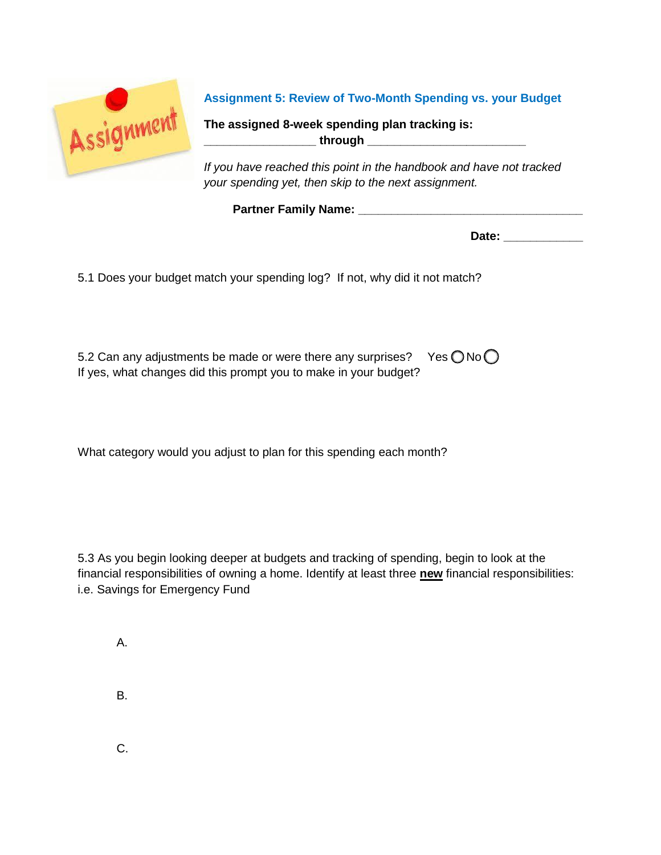

## **Assignment 5: Review of Two-Month Spending vs. your Budget**

**The assigned 8-week spending plan tracking is: through \_\_\_\_\_\_\_\_\_\_\_\_\_\_\_\_\_\_\_\_\_\_\_\_** 

*If you have reached this point in the handbook and have not tracked your spending yet, then skip to the next assignment.* 

**Partner Family Name:** 2008. 2019. 2019. 2019. 2019. 2019. 2019. 2019. 2019. 2019. 2019. 2019. 2019. 2019. 2019. 2019. 2019. 2019. 2019. 2019. 2019. 2019. 2019. 2019. 2019. 2019. 2019. 2019. 2019. 2019. 2019. 2019. 2019. 2

**Date: \_\_\_\_\_\_\_\_\_\_\_\_** 

5.1 Does your budget match your spending log? If not, why did it not match?

| 5.2 Can any adjustments be made or were there any surprises?     | Yes $\bigcirc$ No $\bigcirc$ |
|------------------------------------------------------------------|------------------------------|
| If yes, what changes did this prompt you to make in your budget? |                              |

What category would you adjust to plan for this spending each month?

5.3 As you begin looking deeper at budgets and tracking of spending, begin to look at the financial responsibilities of owning a home. Identify at least three **new** financial responsibilities: i.e. Savings for Emergency Fund

A.

B.

C.